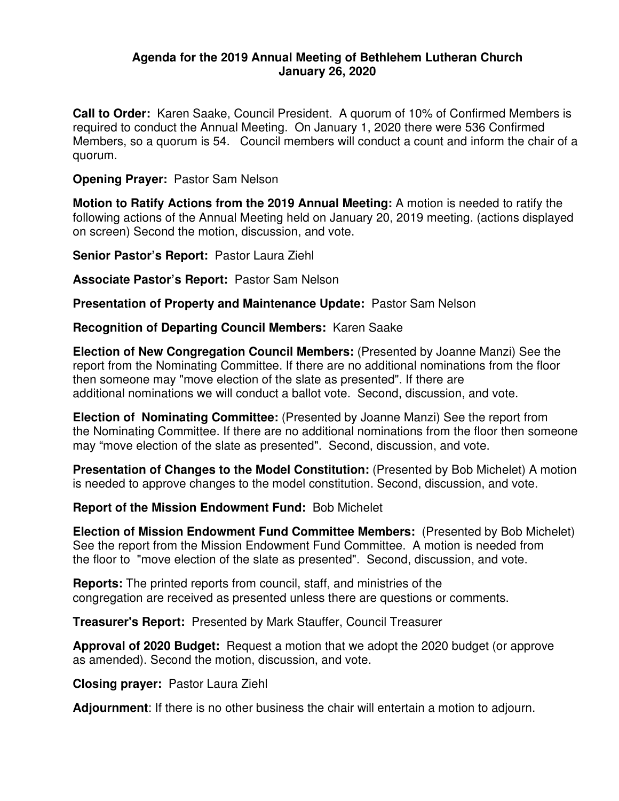## **Agenda for the 2019 Annual Meeting of Bethlehem Lutheran Church January 26, 2020**

**Call to Order:** Karen Saake, Council President. A quorum of 10% of Confirmed Members is required to conduct the Annual Meeting. On January 1, 2020 there were 536 Confirmed Members, so a quorum is 54. Council members will conduct a count and inform the chair of a quorum.

**Opening Prayer:** Pastor Sam Nelson

**Motion to Ratify Actions from the 2019 Annual Meeting:** A motion is needed to ratify the following actions of the Annual Meeting held on January 20, 2019 meeting. (actions displayed on screen) Second the motion, discussion, and vote.

**Senior Pastor's Report:** Pastor Laura Ziehl

**Associate Pastor's Report:** Pastor Sam Nelson

**Presentation of Property and Maintenance Update:** Pastor Sam Nelson

**Recognition of Departing Council Members:** Karen Saake

**Election of New Congregation Council Members:** (Presented by Joanne Manzi) See the report from the Nominating Committee. If there are no additional nominations from the floor then someone may "move election of the slate as presented". If there are additional nominations we will conduct a ballot vote. Second, discussion, and vote.

**Election of Nominating Committee:** (Presented by Joanne Manzi) See the report from the Nominating Committee. If there are no additional nominations from the floor then someone may "move election of the slate as presented". Second, discussion, and vote.

**Presentation of Changes to the Model Constitution:** (Presented by Bob Michelet) A motion is needed to approve changes to the model constitution. Second, discussion, and vote.

**Report of the Mission Endowment Fund:** Bob Michelet

**Election of Mission Endowment Fund Committee Members:** (Presented by Bob Michelet) See the report from the Mission Endowment Fund Committee. A motion is needed from the floor to "move election of the slate as presented". Second, discussion, and vote.

**Reports:** The printed reports from council, staff, and ministries of the congregation are received as presented unless there are questions or comments.

**Treasurer's Report:** Presented by Mark Stauffer, Council Treasurer

**Approval of 2020 Budget:** Request a motion that we adopt the 2020 budget (or approve as amended). Second the motion, discussion, and vote.

**Closing prayer:** Pastor Laura Ziehl

**Adjournment**: If there is no other business the chair will entertain a motion to adjourn.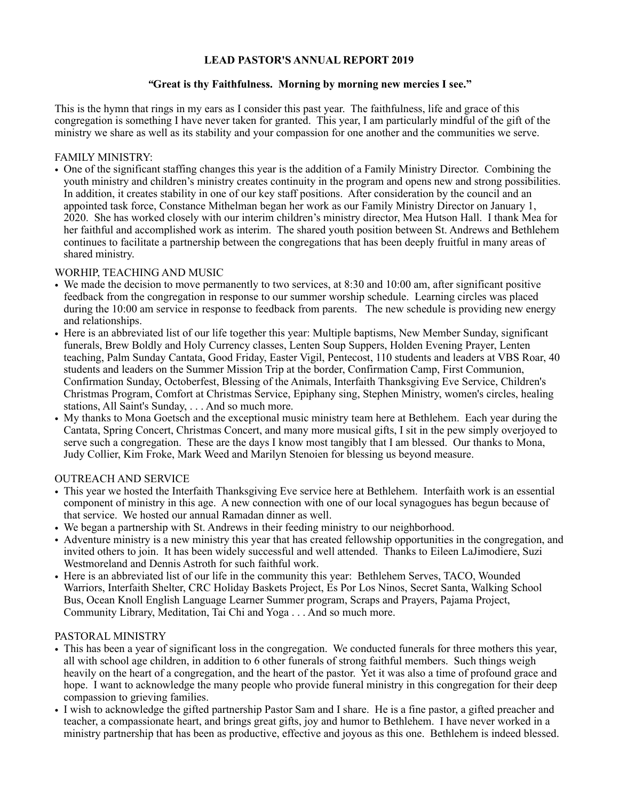#### **LEAD PASTOR'S ANNUAL REPORT 2019**

#### *"***Great is thy Faithfulness. Morning by morning new mercies I see."**

This is the hymn that rings in my ears as I consider this past year. The faithfulness, life and grace of this congregation is something I have never taken for granted. This year, I am particularly mindful of the gift of the ministry we share as well as its stability and your compassion for one another and the communities we serve.

#### FAMILY MINISTRY:

• One of the significant staffing changes this year is the addition of a Family Ministry Director. Combining the youth ministry and children's ministry creates continuity in the program and opens new and strong possibilities. In addition, it creates stability in one of our key staff positions. After consideration by the council and an appointed task force, Constance Mithelman began her work as our Family Ministry Director on January 1, 2020. She has worked closely with our interim children's ministry director, Mea Hutson Hall. I thank Mea for her faithful and accomplished work as interim. The shared youth position between St. Andrews and Bethlehem continues to facilitate a partnership between the congregations that has been deeply fruitful in many areas of shared ministry.

## WORHIP, TEACHING AND MUSIC

- We made the decision to move permanently to two services, at 8:30 and 10:00 am, after significant positive feedback from the congregation in response to our summer worship schedule. Learning circles was placed during the 10:00 am service in response to feedback from parents. The new schedule is providing new energy and relationships.
- Here is an abbreviated list of our life together this year: Multiple baptisms, New Member Sunday, significant funerals, Brew Boldly and Holy Currency classes, Lenten Soup Suppers, Holden Evening Prayer, Lenten teaching, Palm Sunday Cantata, Good Friday, Easter Vigil, Pentecost, 110 students and leaders at VBS Roar, 40 students and leaders on the Summer Mission Trip at the border, Confirmation Camp, First Communion, Confirmation Sunday, Octoberfest, Blessing of the Animals, Interfaith Thanksgiving Eve Service, Children's Christmas Program, Comfort at Christmas Service, Epiphany sing, Stephen Ministry, women's circles, healing stations, All Saint's Sunday, . . . And so much more.
- My thanks to Mona Goetsch and the exceptional music ministry team here at Bethlehem. Each year during the Cantata, Spring Concert, Christmas Concert, and many more musical gifts, I sit in the pew simply overjoyed to serve such a congregation. These are the days I know most tangibly that I am blessed. Our thanks to Mona, Judy Collier, Kim Froke, Mark Weed and Marilyn Stenoien for blessing us beyond measure.

## OUTREACH AND SERVICE

- This year we hosted the Interfaith Thanksgiving Eve service here at Bethlehem. Interfaith work is an essential component of ministry in this age. A new connection with one of our local synagogues has begun because of that service. We hosted our annual Ramadan dinner as well.
- We began a partnership with St. Andrews in their feeding ministry to our neighborhood.
- Adventure ministry is a new ministry this year that has created fellowship opportunities in the congregation, and invited others to join. It has been widely successful and well attended. Thanks to Eileen LaJimodiere, Suzi Westmoreland and Dennis Astroth for such faithful work.
- Here is an abbreviated list of our life in the community this year: Bethlehem Serves, TACO, Wounded Warriors, Interfaith Shelter, CRC Holiday Baskets Project, Es Por Los Ninos, Secret Santa, Walking School Bus, Ocean Knoll English Language Learner Summer program, Scraps and Prayers, Pajama Project, Community Library, Meditation, Tai Chi and Yoga . . . And so much more.

#### PASTORAL MINISTRY

- This has been a year of significant loss in the congregation. We conducted funerals for three mothers this year, all with school age children, in addition to 6 other funerals of strong faithful members. Such things weigh heavily on the heart of a congregation, and the heart of the pastor. Yet it was also a time of profound grace and hope. I want to acknowledge the many people who provide funeral ministry in this congregation for their deep compassion to grieving families.
- I wish to acknowledge the gifted partnership Pastor Sam and I share. He is a fine pastor, a gifted preacher and teacher, a compassionate heart, and brings great gifts, joy and humor to Bethlehem. I have never worked in a ministry partnership that has been as productive, effective and joyous as this one. Bethlehem is indeed blessed.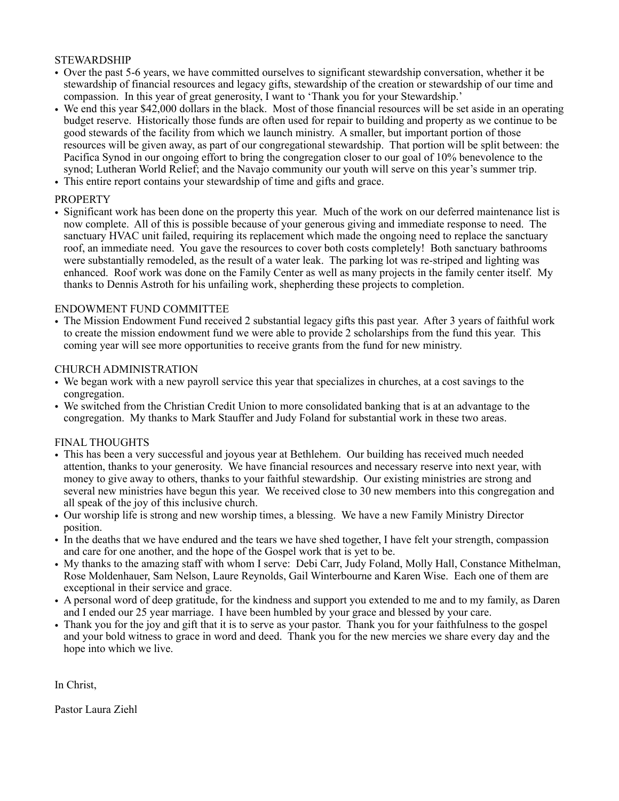#### STEWARDSHIP

- Over the past 5-6 years, we have committed ourselves to significant stewardship conversation, whether it be stewardship of financial resources and legacy gifts, stewardship of the creation or stewardship of our time and compassion. In this year of great generosity, I want to 'Thank you for your Stewardship.'
- We end this year \$42,000 dollars in the black. Most of those financial resources will be set aside in an operating budget reserve. Historically those funds are often used for repair to building and property as we continue to be good stewards of the facility from which we launch ministry. A smaller, but important portion of those resources will be given away, as part of our congregational stewardship. That portion will be split between: the Pacifica Synod in our ongoing effort to bring the congregation closer to our goal of 10% benevolence to the synod; Lutheran World Relief; and the Navajo community our youth will serve on this year's summer trip.
- This entire report contains your stewardship of time and gifts and grace.

#### PROPERTY

• Significant work has been done on the property this year. Much of the work on our deferred maintenance list is now complete. All of this is possible because of your generous giving and immediate response to need. The sanctuary HVAC unit failed, requiring its replacement which made the ongoing need to replace the sanctuary roof, an immediate need. You gave the resources to cover both costs completely! Both sanctuary bathrooms were substantially remodeled, as the result of a water leak. The parking lot was re-striped and lighting was enhanced. Roof work was done on the Family Center as well as many projects in the family center itself. My thanks to Dennis Astroth for his unfailing work, shepherding these projects to completion.

#### ENDOWMENT FUND COMMITTEE

• The Mission Endowment Fund received 2 substantial legacy gifts this past year. After 3 years of faithful work to create the mission endowment fund we were able to provide 2 scholarships from the fund this year. This coming year will see more opportunities to receive grants from the fund for new ministry.

#### CHURCH ADMINISTRATION

- We began work with a new payroll service this year that specializes in churches, at a cost savings to the congregation.
- We switched from the Christian Credit Union to more consolidated banking that is at an advantage to the congregation. My thanks to Mark Stauffer and Judy Foland for substantial work in these two areas.

#### FINAL THOUGHTS

- This has been a very successful and joyous year at Bethlehem. Our building has received much needed attention, thanks to your generosity. We have financial resources and necessary reserve into next year, with money to give away to others, thanks to your faithful stewardship. Our existing ministries are strong and several new ministries have begun this year. We received close to 30 new members into this congregation and all speak of the joy of this inclusive church.
- Our worship life is strong and new worship times, a blessing. We have a new Family Ministry Director position.
- In the deaths that we have endured and the tears we have shed together, I have felt your strength, compassion and care for one another, and the hope of the Gospel work that is yet to be.
- My thanks to the amazing staff with whom I serve: Debi Carr, Judy Foland, Molly Hall, Constance Mithelman, Rose Moldenhauer, Sam Nelson, Laure Reynolds, Gail Winterbourne and Karen Wise. Each one of them are exceptional in their service and grace.
- A personal word of deep gratitude, for the kindness and support you extended to me and to my family, as Daren and I ended our 25 year marriage. I have been humbled by your grace and blessed by your care.
- Thank you for the joy and gift that it is to serve as your pastor. Thank you for your faithfulness to the gospel and your bold witness to grace in word and deed. Thank you for the new mercies we share every day and the hope into which we live.

In Christ,

Pastor Laura Ziehl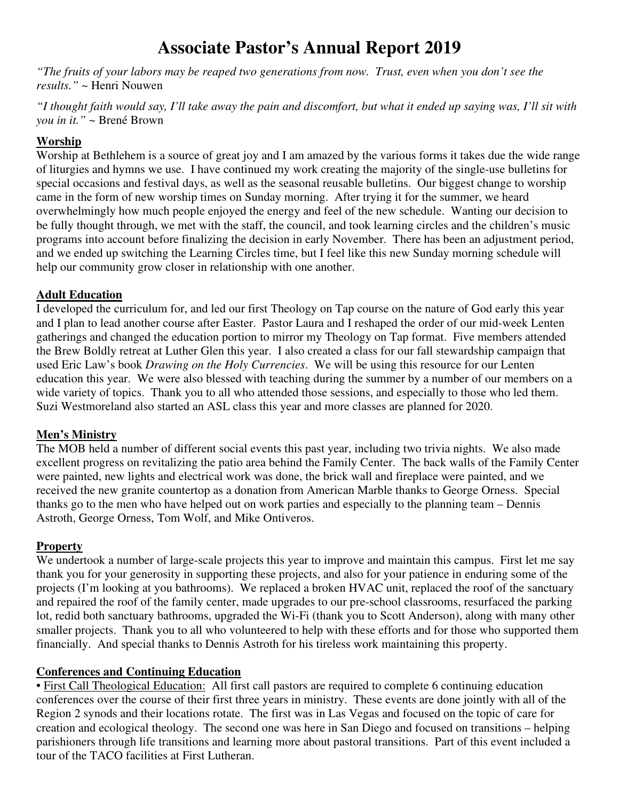# **Associate Pastor's Annual Report 2019**

*"The fruits of your labors may be reaped two generations from now. Trust, even when you don't see the results."* ~ Henri Nouwen

*"I thought faith would say, I'll take away the pain and discomfort, but what it ended up saying was, I'll sit with you in it."* ~ Brené Brown

# **Worship**

Worship at Bethlehem is a source of great joy and I am amazed by the various forms it takes due the wide range of liturgies and hymns we use. I have continued my work creating the majority of the single-use bulletins for special occasions and festival days, as well as the seasonal reusable bulletins. Our biggest change to worship came in the form of new worship times on Sunday morning. After trying it for the summer, we heard overwhelmingly how much people enjoyed the energy and feel of the new schedule. Wanting our decision to be fully thought through, we met with the staff, the council, and took learning circles and the children's music programs into account before finalizing the decision in early November. There has been an adjustment period, and we ended up switching the Learning Circles time, but I feel like this new Sunday morning schedule will help our community grow closer in relationship with one another.

# **Adult Education**

I developed the curriculum for, and led our first Theology on Tap course on the nature of God early this year and I plan to lead another course after Easter. Pastor Laura and I reshaped the order of our mid-week Lenten gatherings and changed the education portion to mirror my Theology on Tap format. Five members attended the Brew Boldly retreat at Luther Glen this year. I also created a class for our fall stewardship campaign that used Eric Law's book *Drawing on the Holy Currencies*. We will be using this resource for our Lenten education this year. We were also blessed with teaching during the summer by a number of our members on a wide variety of topics. Thank you to all who attended those sessions, and especially to those who led them. Suzi Westmoreland also started an ASL class this year and more classes are planned for 2020.

# **Men's Ministry**

The MOB held a number of different social events this past year, including two trivia nights. We also made excellent progress on revitalizing the patio area behind the Family Center. The back walls of the Family Center were painted, new lights and electrical work was done, the brick wall and fireplace were painted, and we received the new granite countertop as a donation from American Marble thanks to George Orness. Special thanks go to the men who have helped out on work parties and especially to the planning team – Dennis Astroth, George Orness, Tom Wolf, and Mike Ontiveros.

# **Property**

We undertook a number of large-scale projects this year to improve and maintain this campus. First let me say thank you for your generosity in supporting these projects, and also for your patience in enduring some of the projects (I'm looking at you bathrooms). We replaced a broken HVAC unit, replaced the roof of the sanctuary and repaired the roof of the family center, made upgrades to our pre-school classrooms, resurfaced the parking lot, redid both sanctuary bathrooms, upgraded the Wi-Fi (thank you to Scott Anderson), along with many other smaller projects. Thank you to all who volunteered to help with these efforts and for those who supported them financially. And special thanks to Dennis Astroth for his tireless work maintaining this property.

# **Conferences and Continuing Education**

• First Call Theological Education: All first call pastors are required to complete 6 continuing education conferences over the course of their first three years in ministry. These events are done jointly with all of the Region 2 synods and their locations rotate. The first was in Las Vegas and focused on the topic of care for creation and ecological theology. The second one was here in San Diego and focused on transitions – helping parishioners through life transitions and learning more about pastoral transitions. Part of this event included a tour of the TACO facilities at First Lutheran.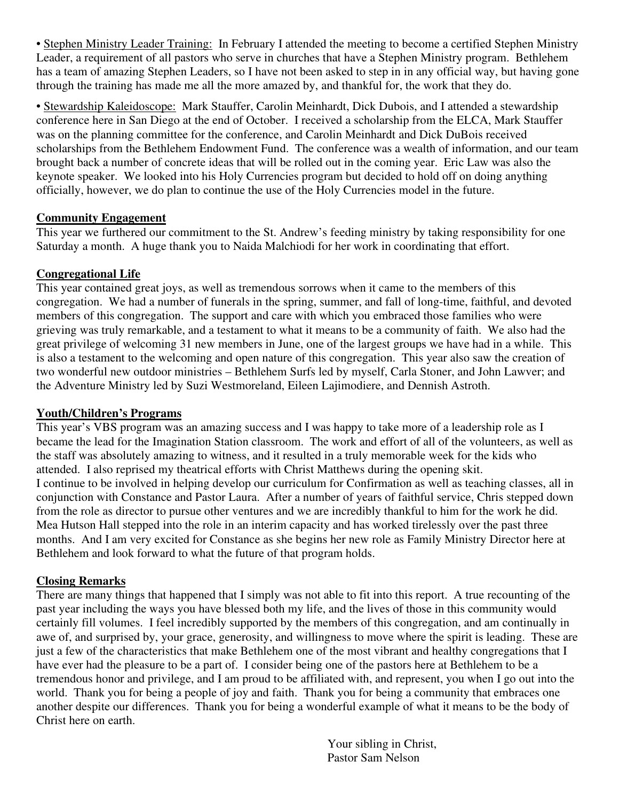• Stephen Ministry Leader Training: In February I attended the meeting to become a certified Stephen Ministry Leader, a requirement of all pastors who serve in churches that have a Stephen Ministry program. Bethlehem has a team of amazing Stephen Leaders, so I have not been asked to step in in any official way, but having gone through the training has made me all the more amazed by, and thankful for, the work that they do.

• Stewardship Kaleidoscope: Mark Stauffer, Carolin Meinhardt, Dick Dubois, and I attended a stewardship conference here in San Diego at the end of October. I received a scholarship from the ELCA, Mark Stauffer was on the planning committee for the conference, and Carolin Meinhardt and Dick DuBois received scholarships from the Bethlehem Endowment Fund. The conference was a wealth of information, and our team brought back a number of concrete ideas that will be rolled out in the coming year. Eric Law was also the keynote speaker. We looked into his Holy Currencies program but decided to hold off on doing anything officially, however, we do plan to continue the use of the Holy Currencies model in the future.

## **Community Engagement**

This year we furthered our commitment to the St. Andrew's feeding ministry by taking responsibility for one Saturday a month. A huge thank you to Naida Malchiodi for her work in coordinating that effort.

## **Congregational Life**

This year contained great joys, as well as tremendous sorrows when it came to the members of this congregation. We had a number of funerals in the spring, summer, and fall of long-time, faithful, and devoted members of this congregation. The support and care with which you embraced those families who were grieving was truly remarkable, and a testament to what it means to be a community of faith. We also had the great privilege of welcoming 31 new members in June, one of the largest groups we have had in a while. This is also a testament to the welcoming and open nature of this congregation. This year also saw the creation of two wonderful new outdoor ministries – Bethlehem Surfs led by myself, Carla Stoner, and John Lawver; and the Adventure Ministry led by Suzi Westmoreland, Eileen Lajimodiere, and Dennish Astroth.

# **Youth/Children's Programs**

This year's VBS program was an amazing success and I was happy to take more of a leadership role as I became the lead for the Imagination Station classroom. The work and effort of all of the volunteers, as well as the staff was absolutely amazing to witness, and it resulted in a truly memorable week for the kids who attended. I also reprised my theatrical efforts with Christ Matthews during the opening skit. I continue to be involved in helping develop our curriculum for Confirmation as well as teaching classes, all in conjunction with Constance and Pastor Laura. After a number of years of faithful service, Chris stepped down from the role as director to pursue other ventures and we are incredibly thankful to him for the work he did. Mea Hutson Hall stepped into the role in an interim capacity and has worked tirelessly over the past three months. And I am very excited for Constance as she begins her new role as Family Ministry Director here at Bethlehem and look forward to what the future of that program holds.

# **Closing Remarks**

There are many things that happened that I simply was not able to fit into this report. A true recounting of the past year including the ways you have blessed both my life, and the lives of those in this community would certainly fill volumes. I feel incredibly supported by the members of this congregation, and am continually in awe of, and surprised by, your grace, generosity, and willingness to move where the spirit is leading. These are just a few of the characteristics that make Bethlehem one of the most vibrant and healthy congregations that I have ever had the pleasure to be a part of. I consider being one of the pastors here at Bethlehem to be a tremendous honor and privilege, and I am proud to be affiliated with, and represent, you when I go out into the world. Thank you for being a people of joy and faith. Thank you for being a community that embraces one another despite our differences. Thank you for being a wonderful example of what it means to be the body of Christ here on earth.

> Your sibling in Christ, Pastor Sam Nelson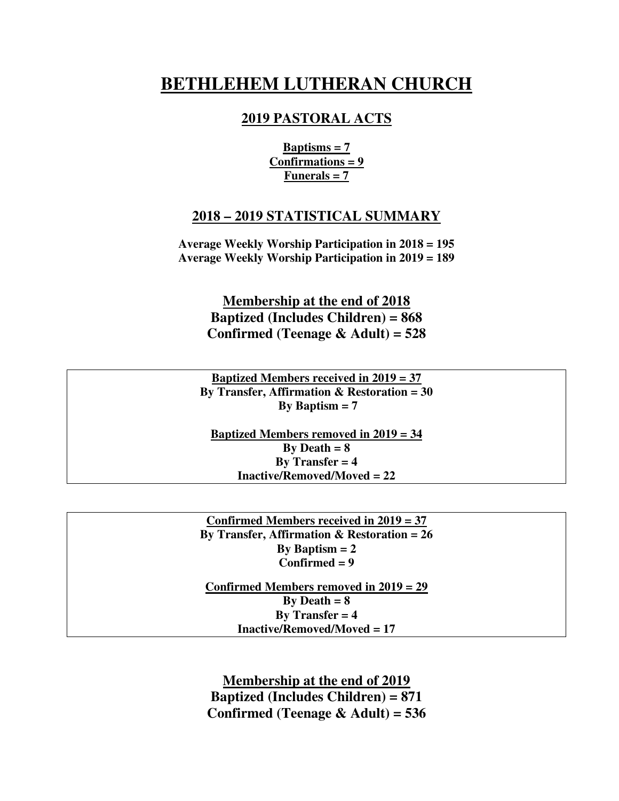# **BETHLEHEM LUTHERAN CHURCH**

## **2019 PASTORAL ACTS**

**Baptisms = 7 Confirmations = 9 Funerals = 7** 

## **2018 – 2019 STATISTICAL SUMMARY**

**Average Weekly Worship Participation in 2018 = 195 Average Weekly Worship Participation in 2019 = 189** 

> **Membership at the end of 2018 Baptized (Includes Children) = 868 Confirmed (Teenage & Adult) = 528**

**Baptized Members received in 2019 = 37 By Transfer, Affirmation & Restoration = 30 By Baptism = 7** 

**Baptized Members removed in 2019 = 34 By Death = 8 By Transfer = 4 Inactive/Removed/Moved = 22** 

**Confirmed Members received in 2019 = 37 By Transfer, Affirmation & Restoration = 26 By Baptism = 2 Confirmed = 9** 

**Confirmed Members removed in 2019 = 29 By Death =**  $8$ **By Transfer = 4 Inactive/Removed/Moved = 17** 

**Membership at the end of 2019 Baptized (Includes Children) = 871 Confirmed (Teenage & Adult) = 536**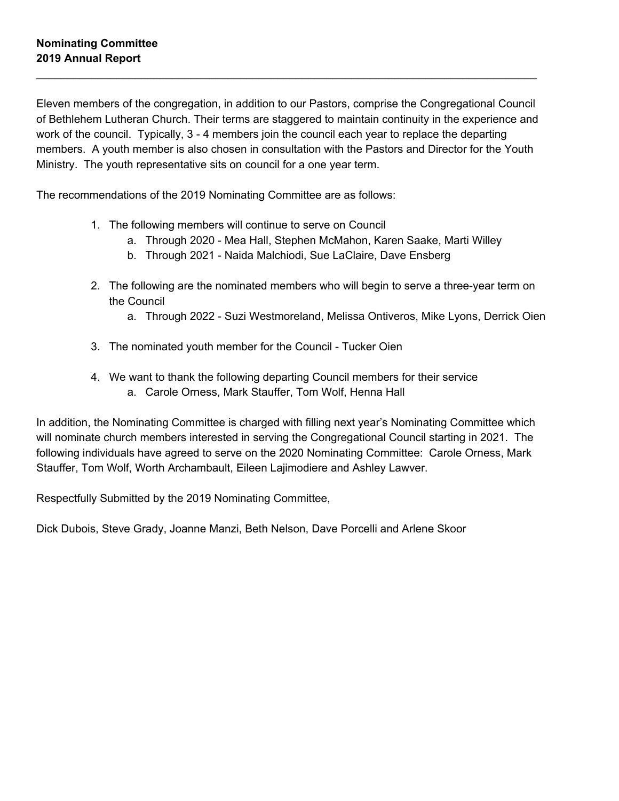Eleven members of the congregation, in addition to our Pastors, comprise the Congregational Council of Bethlehem Lutheran Church. Their terms are staggered to maintain continuity in the experience and work of the council. Typically, 3 - 4 members join the council each year to replace the departing members. A youth member is also chosen in consultation with the Pastors and Director for the Youth Ministry. The youth representative sits on council for a one year term.

\_\_\_\_\_\_\_\_\_\_\_\_\_\_\_\_\_\_\_\_\_\_\_\_\_\_\_\_\_\_\_\_\_\_\_\_\_\_\_\_\_\_\_\_\_\_\_\_\_\_\_\_\_\_\_\_\_\_\_\_\_\_\_\_\_\_\_\_\_\_\_\_\_\_\_\_\_\_\_\_\_

The recommendations of the 2019 Nominating Committee are as follows:

- 1. The following members will continue to serve on Council
	- a. Through 2020 Mea Hall, Stephen McMahon, Karen Saake, Marti Willey
	- b. Through 2021 Naida Malchiodi, Sue LaClaire, Dave Ensberg
- 2. The following are the nominated members who will begin to serve a three-year term on the Council
	- a. Through 2022 Suzi Westmoreland, Melissa Ontiveros, Mike Lyons, Derrick Oien
- 3. The nominated youth member for the Council Tucker Oien
- 4. We want to thank the following departing Council members for their service
	- a. Carole Orness, Mark Stauffer, Tom Wolf, Henna Hall

In addition, the Nominating Committee is charged with filling next year's Nominating Committee which will nominate church members interested in serving the Congregational Council starting in 2021. The following individuals have agreed to serve on the 2020 Nominating Committee: Carole Orness, Mark Stauffer, Tom Wolf, Worth Archambault, Eileen Lajimodiere and Ashley Lawver.

Respectfully Submitted by the 2019 Nominating Committee,

Dick Dubois, Steve Grady, Joanne Manzi, Beth Nelson, Dave Porcelli and Arlene Skoor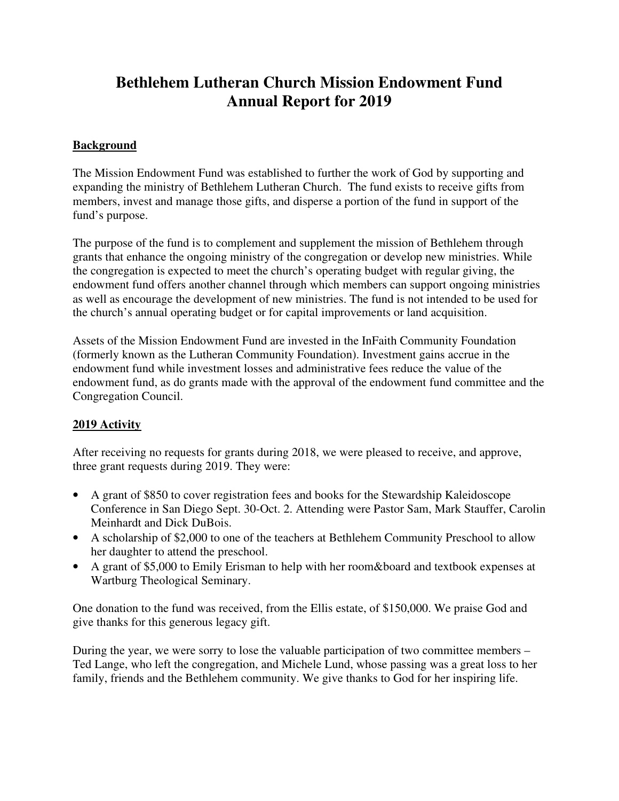# **Bethlehem Lutheran Church Mission Endowment Fund Annual Report for 2019**

## **Background**

The Mission Endowment Fund was established to further the work of God by supporting and expanding the ministry of Bethlehem Lutheran Church. The fund exists to receive gifts from members, invest and manage those gifts, and disperse a portion of the fund in support of the fund's purpose.

The purpose of the fund is to complement and supplement the mission of Bethlehem through grants that enhance the ongoing ministry of the congregation or develop new ministries. While the congregation is expected to meet the church's operating budget with regular giving, the endowment fund offers another channel through which members can support ongoing ministries as well as encourage the development of new ministries. The fund is not intended to be used for the church's annual operating budget or for capital improvements or land acquisition.

Assets of the Mission Endowment Fund are invested in the InFaith Community Foundation (formerly known as the Lutheran Community Foundation). Investment gains accrue in the endowment fund while investment losses and administrative fees reduce the value of the endowment fund, as do grants made with the approval of the endowment fund committee and the Congregation Council.

## **2019 Activity**

After receiving no requests for grants during 2018, we were pleased to receive, and approve, three grant requests during 2019. They were:

- A grant of \$850 to cover registration fees and books for the Stewardship Kaleidoscope Conference in San Diego Sept. 30-Oct. 2. Attending were Pastor Sam, Mark Stauffer, Carolin Meinhardt and Dick DuBois.
- A scholarship of \$2,000 to one of the teachers at Bethlehem Community Preschool to allow her daughter to attend the preschool.
- A grant of \$5,000 to Emily Erisman to help with her room&board and textbook expenses at Wartburg Theological Seminary.

One donation to the fund was received, from the Ellis estate, of \$150,000. We praise God and give thanks for this generous legacy gift.

During the year, we were sorry to lose the valuable participation of two committee members – Ted Lange, who left the congregation, and Michele Lund, whose passing was a great loss to her family, friends and the Bethlehem community. We give thanks to God for her inspiring life.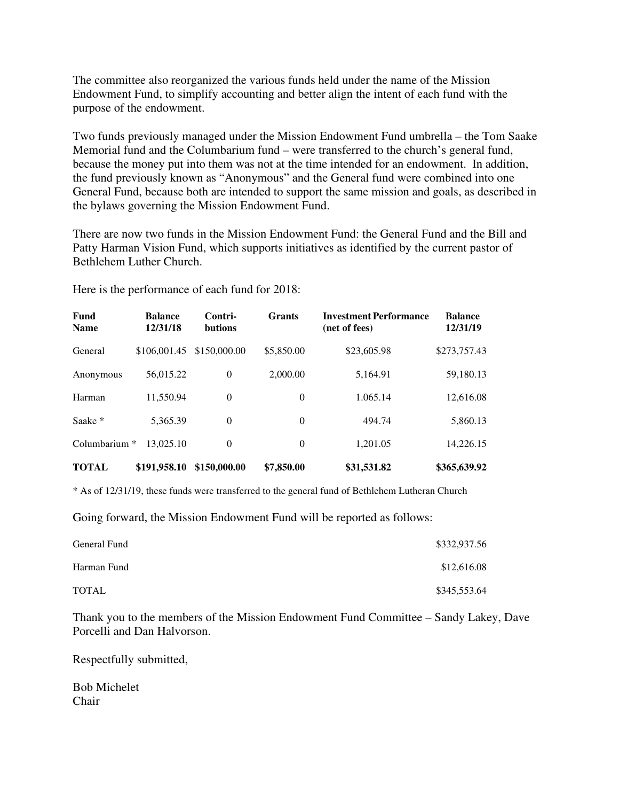The committee also reorganized the various funds held under the name of the Mission Endowment Fund, to simplify accounting and better align the intent of each fund with the purpose of the endowment.

Two funds previously managed under the Mission Endowment Fund umbrella – the Tom Saake Memorial fund and the Columbarium fund – were transferred to the church's general fund, because the money put into them was not at the time intended for an endowment. In addition, the fund previously known as "Anonymous" and the General fund were combined into one General Fund, because both are intended to support the same mission and goals, as described in the bylaws governing the Mission Endowment Fund.

There are now two funds in the Mission Endowment Fund: the General Fund and the Bill and Patty Harman Vision Fund, which supports initiatives as identified by the current pastor of Bethlehem Luther Church.

| Fund<br><b>Name</b> | <b>Balance</b><br>12/31/18 | Contri-<br><b>butions</b> | <b>Grants</b> | <b>Investment Performance</b><br>(net of fees) | <b>Balance</b><br>12/31/19 |
|---------------------|----------------------------|---------------------------|---------------|------------------------------------------------|----------------------------|
| General             | \$106,001.45               | \$150,000.00              | \$5,850.00    | \$23,605.98                                    | \$273,757.43               |
| Anonymous           | 56,015.22                  | $\overline{0}$            | 2,000.00      | 5,164.91                                       | 59,180.13                  |
| Harman              | 11,550.94                  | $\theta$                  | $\theta$      | 1.065.14                                       | 12,616.08                  |
| Saake *             | 5.365.39                   | $\theta$                  | $\theta$      | 494.74                                         | 5,860.13                   |
| Columbarium *       | 13.025.10                  | $\theta$                  | $\theta$      | 1.201.05                                       | 14,226.15                  |
| <b>TOTAL</b>        | \$191,958.10               | \$150,000.00              | \$7,850.00    | \$31,531.82                                    | \$365,639.92               |

Here is the performance of each fund for 2018:

\* As of 12/31/19, these funds were transferred to the general fund of Bethlehem Lutheran Church

Going forward, the Mission Endowment Fund will be reported as follows:

| General Fund | \$332,937.56 |
|--------------|--------------|
| Harman Fund  | \$12,616.08  |
| <b>TOTAL</b> | \$345,553.64 |

Thank you to the members of the Mission Endowment Fund Committee – Sandy Lakey, Dave Porcelli and Dan Halvorson.

Respectfully submitted,

Bob Michelet Chair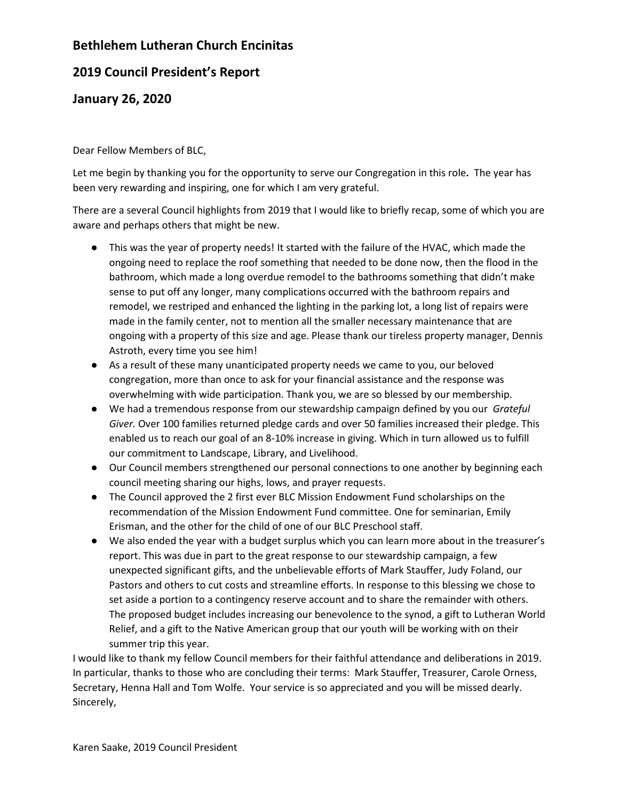# Bethlehem Lutheran Church Encinitas

# 2019 Council President's Report

# January 26, 2020

Dear Fellow Members of BLC,

Let me begin by thanking you for the opportunity to serve our Congregation in this role. The year has been very rewarding and inspiring, one for which I am very grateful.

There are a several Council highlights from 2019 that I would like to briefly recap, some of which you are aware and perhaps others that might be new.

- This was the year of property needs! It started with the failure of the HVAC, which made the ongoing need to replace the roof something that needed to be done now, then the flood in the bathroom, which made a long overdue remodel to the bathrooms something that didn't make sense to put off any longer, many complications occurred with the bathroom repairs and remodel, we restriped and enhanced the lighting in the parking lot, a long list of repairs were made in the family center, not to mention all the smaller necessary maintenance that are ongoing with a property of this size and age. Please thank our tireless property manager, Dennis Astroth, every time you see him!
- As a result of these many unanticipated property needs we came to you, our beloved congregation, more than once to ask for your financial assistance and the response was overwhelming with wide participation. Thank you, we are so blessed by our membership.
- We had a tremendous response from our stewardship campaign defined by you our *Grateful* Giver. Over 100 families returned pledge cards and over 50 families increased their pledge. This enabled us to reach our goal of an 8-10% increase in giving. Which in turn allowed us to fulfill our commitment to Landscape, Library, and Livelihood.
- Our Council members strengthened our personal connections to one another by beginning each council meeting sharing our highs, lows, and prayer requests.
- The Council approved the 2 first ever BLC Mission Endowment Fund scholarships on the recommendation of the Mission Endowment Fund committee. One for seminarian, Emily Erisman, and the other for the child of one of our BLC Preschool staff.
- We also ended the year with a budget surplus which you can learn more about in the treasurer's report. This was due in part to the great response to our stewardship campaign, a few unexpected significant gifts, and the unbelievable efforts of Mark Stauffer, Judy Foland, our Pastors and others to cut costs and streamline efforts. In response to this blessing we chose to set aside a portion to a contingency reserve account and to share the remainder with others. The proposed budget includes increasing our benevolence to the synod, a gift to Lutheran World Relief, and a gift to the Native American group that our youth will be working with on their summer trip this year.

I would like to thank my fellow Council members for their faithful attendance and deliberations in 2019. In particular, thanks to those who are concluding their terms: Mark Stauffer, Treasurer, Carole Orness, Secretary, Henna Hall and Tom Wolfe. Your service is so appreciated and you will be missed dearly. Sincerely,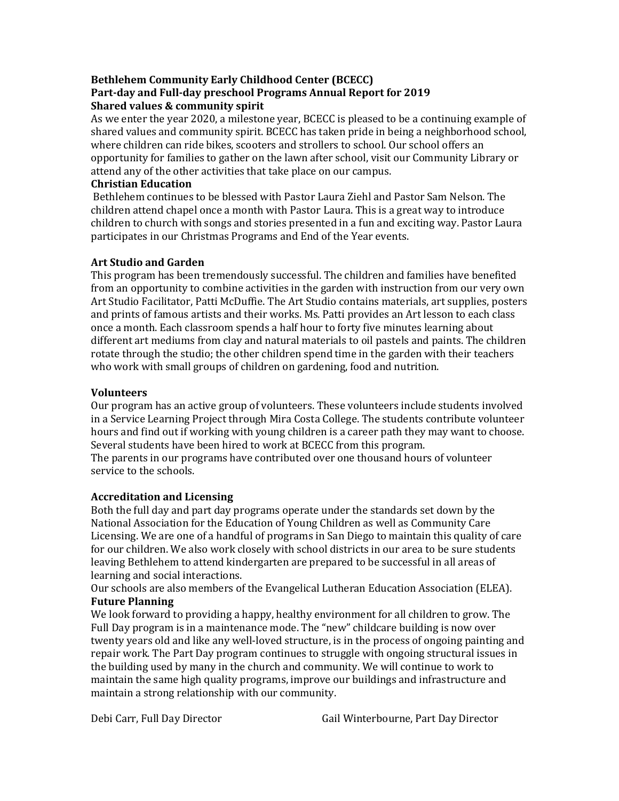## Bethlehem Community Early Childhood Center (BCECC) Part-day and Full-day preschool Programs Annual Report for 2019 Shared values & community spirit

As we enter the year 2020, a milestone year, BCECC is pleased to be a continuing example of shared values and community spirit. BCECC has taken pride in being a neighborhood school, where children can ride bikes, scooters and strollers to school. Our school offers an opportunity for families to gather on the lawn after school, visit our Community Library or attend any of the other activities that take place on our campus.

#### Christian Education

 Bethlehem continues to be blessed with Pastor Laura Ziehl and Pastor Sam Nelson. The children attend chapel once a month with Pastor Laura. This is a great way to introduce children to church with songs and stories presented in a fun and exciting way. Pastor Laura participates in our Christmas Programs and End of the Year events.

## Art Studio and Garden

This program has been tremendously successful. The children and families have benefited from an opportunity to combine activities in the garden with instruction from our very own Art Studio Facilitator, Patti McDuffie. The Art Studio contains materials, art supplies, posters and prints of famous artists and their works. Ms. Patti provides an Art lesson to each class once a month. Each classroom spends a half hour to forty five minutes learning about different art mediums from clay and natural materials to oil pastels and paints. The children rotate through the studio; the other children spend time in the garden with their teachers who work with small groups of children on gardening, food and nutrition.

## Volunteers

Our program has an active group of volunteers. These volunteers include students involved in a Service Learning Project through Mira Costa College. The students contribute volunteer hours and find out if working with young children is a career path they may want to choose. Several students have been hired to work at BCECC from this program. The parents in our programs have contributed over one thousand hours of volunteer service to the schools.

## Accreditation and Licensing

Both the full day and part day programs operate under the standards set down by the National Association for the Education of Young Children as well as Community Care Licensing. We are one of a handful of programs in San Diego to maintain this quality of care for our children. We also work closely with school districts in our area to be sure students leaving Bethlehem to attend kindergarten are prepared to be successful in all areas of learning and social interactions.

Our schools are also members of the Evangelical Lutheran Education Association (ELEA). Future Planning

We look forward to providing a happy, healthy environment for all children to grow. The Full Day program is in a maintenance mode. The "new" childcare building is now over twenty years old and like any well-loved structure, is in the process of ongoing painting and repair work. The Part Day program continues to struggle with ongoing structural issues in the building used by many in the church and community. We will continue to work to maintain the same high quality programs, improve our buildings and infrastructure and maintain a strong relationship with our community.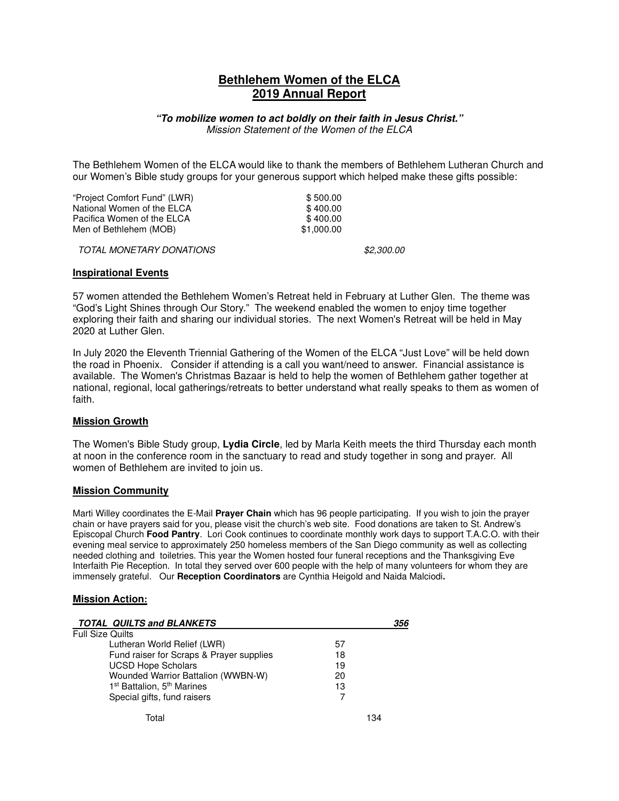## **Bethlehem Women of the ELCA 2019 Annual Report**

#### **"To mobilize women to act boldly on their faith in Jesus Christ."**  Mission Statement of the Women of the ELCA

The Bethlehem Women of the ELCA would like to thank the members of Bethlehem Lutheran Church and our Women's Bible study groups for your generous support which helped make these gifts possible:

| "Project Comfort Fund" (LWR) | \$500.00   |            |
|------------------------------|------------|------------|
| National Women of the ELCA   | \$400.00   |            |
| Pacifica Women of the ELCA   | \$400.00   |            |
| Men of Bethlehem (MOB)       | \$1,000.00 |            |
| TOTAL MONETARY DONATIONS     |            | \$2,300.00 |

#### **Inspirational Events**

57 women attended the Bethlehem Women's Retreat held in February at Luther Glen. The theme was "God's Light Shines through Our Story." The weekend enabled the women to enjoy time together exploring their faith and sharing our individual stories. The next Women's Retreat will be held in May 2020 at Luther Glen.

In July 2020 the Eleventh Triennial Gathering of the Women of the ELCA "Just Love" will be held down the road in Phoenix. Consider if attending is a call you want/need to answer. Financial assistance is available. The Women's Christmas Bazaar is held to help the women of Bethlehem gather together at national, regional, local gatherings/retreats to better understand what really speaks to them as women of faith.

#### **Mission Growth**

The Women's Bible Study group, **Lydia Circle**, led by Marla Keith meets the third Thursday each month at noon in the conference room in the sanctuary to read and study together in song and prayer. All women of Bethlehem are invited to join us.

#### **Mission Community**

Marti Willey coordinates the E-Mail **Prayer Chain** which has 96 people participating. If you wish to join the prayer chain or have prayers said for you, please visit the church's web site. Food donations are taken to St. Andrew's Episcopal Church **Food Pantry**. Lori Cook continues to coordinate monthly work days to support T.A.C.O. with their evening meal service to approximately 250 homeless members of the San Diego community as well as collecting needed clothing and toiletries. This year the Women hosted four funeral receptions and the Thanksgiving Eve Interfaith Pie Reception. In total they served over 600 people with the help of many volunteers for whom they are immensely grateful. Our **Reception Coordinators** are Cynthia Heigold and Naida Malciodi**.**

#### **Mission Action:**

| <b>TOTAL QUILTS and BLANKETS</b>                   |    | 356 |
|----------------------------------------------------|----|-----|
| <b>Full Size Quilts</b>                            |    |     |
| Lutheran World Relief (LWR)                        | 57 |     |
| Fund raiser for Scraps & Prayer supplies           | 18 |     |
| <b>UCSD Hope Scholars</b>                          | 19 |     |
| Wounded Warrior Battalion (WWBN-W)                 | 20 |     |
| 1 <sup>st</sup> Battalion, 5 <sup>th</sup> Marines | 13 |     |
| Special gifts, fund raisers                        |    |     |
| Total                                              |    | 134 |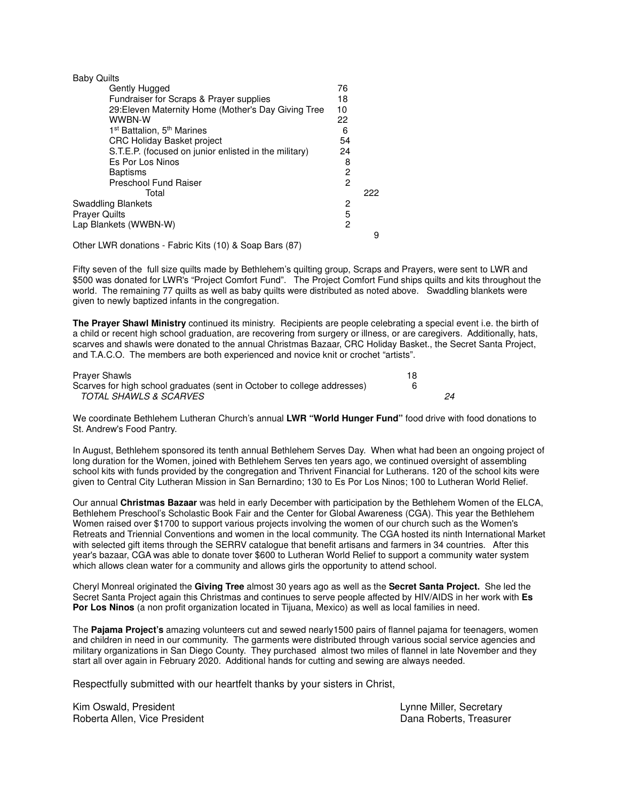| <b>Baby Quilts</b>                                    |                |     |
|-------------------------------------------------------|----------------|-----|
| Gently Hugged                                         | 76             |     |
| Fundraiser for Scraps & Prayer supplies               | 18             |     |
| 29: Eleven Maternity Home (Mother's Day Giving Tree   | 10             |     |
| WWBN-W                                                | 22             |     |
| 1 <sup>st</sup> Battalion, 5 <sup>th</sup> Marines    | 6              |     |
| <b>CRC Holiday Basket project</b>                     | 54             |     |
| S.T.E.P. (focused on junior enlisted in the military) | 24             |     |
| Es Por Los Ninos                                      | 8              |     |
| <b>Baptisms</b>                                       | 2              |     |
| Preschool Fund Raiser                                 | $\overline{2}$ |     |
| Total                                                 |                | 222 |
| <b>Swaddling Blankets</b>                             | 2              |     |
| <b>Prayer Quilts</b>                                  | 5              |     |
| Lap Blankets (WWBN-W)                                 | 2              |     |
|                                                       |                | 9   |

Other LWR donations - Fabric Kits (10) & Soap Bars (87)

Fifty seven of the full size quilts made by Bethlehem's quilting group, Scraps and Prayers, were sent to LWR and \$500 was donated for LWR's "Project Comfort Fund". The Project Comfort Fund ships quilts and kits throughout the world. The remaining 77 quilts as well as baby quilts were distributed as noted above. Swaddling blankets were given to newly baptized infants in the congregation.

**The Prayer Shawl Ministry** continued its ministry. Recipients are people celebrating a special event i.e. the birth of a child or recent high school graduation, are recovering from surgery or illness, or are caregivers. Additionally, hats, scarves and shawls were donated to the annual Christmas Bazaar, CRC Holiday Basket., the Secret Santa Project, and T.A.C.O. The members are both experienced and novice knit or crochet "artists".

| <b>Prayer Shawls</b>                                                     |  |
|--------------------------------------------------------------------------|--|
| Scarves for high school graduates (sent in October to college addresses) |  |
| TOTAL SHAWLS & SCARVES                                                   |  |

We coordinate Bethlehem Lutheran Church's annual **LWR "World Hunger Fund"** food drive with food donations to St. Andrew's Food Pantry.

In August, Bethlehem sponsored its tenth annual Bethlehem Serves Day. When what had been an ongoing project of long duration for the Women, joined with Bethlehem Serves ten years ago, we continued oversight of assembling school kits with funds provided by the congregation and Thrivent Financial for Lutherans. 120 of the school kits were given to Central City Lutheran Mission in San Bernardino; 130 to Es Por Los Ninos; 100 to Lutheran World Relief.

Our annual **Christmas Bazaar** was held in early December with participation by the Bethlehem Women of the ELCA, Bethlehem Preschool's Scholastic Book Fair and the Center for Global Awareness (CGA). This year the Bethlehem Women raised over \$1700 to support various projects involving the women of our church such as the Women's Retreats and Triennial Conventions and women in the local community. The CGA hosted its ninth International Market with selected gift items through the SERRV catalogue that benefit artisans and farmers in 34 countries. After this year's bazaar, CGA was able to donate tover \$600 to Lutheran World Relief to support a community water system which allows clean water for a community and allows girls the opportunity to attend school.

Cheryl Monreal originated the **Giving Tree** almost 30 years ago as well as the **Secret Santa Project.** She led the Secret Santa Project again this Christmas and continues to serve people affected by HIV/AIDS in her work with **Es Por Los Ninos** (a non profit organization located in Tijuana, Mexico) as well as local families in need.

The **Pajama Project's** amazing volunteers cut and sewed nearly1500 pairs of flannel pajama for teenagers, women and children in need in our community. The garments were distributed through various social service agencies and military organizations in San Diego County. They purchased almost two miles of flannel in late November and they start all over again in February 2020. Additional hands for cutting and sewing are always needed.

Respectfully submitted with our heartfelt thanks by your sisters in Christ,

Kim Oswald, President Lynne Miller, Secretary Lynne Miller, Secretary Roberta Allen, Vice President **Dana Roberts, Treasurer** Dana Roberts, Treasurer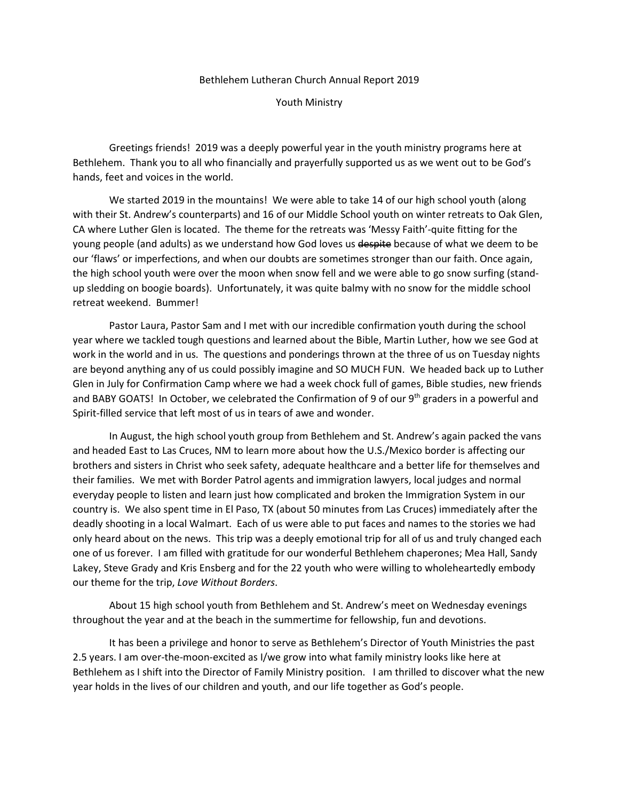Youth Ministry

 Greetings friends! 2019 was a deeply powerful year in the youth ministry programs here at Bethlehem. Thank you to all who financially and prayerfully supported us as we went out to be God's hands, feet and voices in the world.

 We started 2019 in the mountains! We were able to take 14 of our high school youth (along with their St. Andrew's counterparts) and 16 of our Middle School youth on winter retreats to Oak Glen, CA where Luther Glen is located. The theme for the retreats was 'Messy Faith'-quite fitting for the young people (and adults) as we understand how God loves us despite because of what we deem to be our 'flaws' or imperfections, and when our doubts are sometimes stronger than our faith. Once again, the high school youth were over the moon when snow fell and we were able to go snow surfing (standup sledding on boogie boards). Unfortunately, it was quite balmy with no snow for the middle school retreat weekend. Bummer!

 Pastor Laura, Pastor Sam and I met with our incredible confirmation youth during the school year where we tackled tough questions and learned about the Bible, Martin Luther, how we see God at work in the world and in us. The questions and ponderings thrown at the three of us on Tuesday nights are beyond anything any of us could possibly imagine and SO MUCH FUN. We headed back up to Luther Glen in July for Confirmation Camp where we had a week chock full of games, Bible studies, new friends and BABY GOATS! In October, we celebrated the Confirmation of 9 of our 9<sup>th</sup> graders in a powerful and Spirit-filled service that left most of us in tears of awe and wonder.

In August, the high school youth group from Bethlehem and St. Andrew's again packed the vans and headed East to Las Cruces, NM to learn more about how the U.S./Mexico border is affecting our brothers and sisters in Christ who seek safety, adequate healthcare and a better life for themselves and their families. We met with Border Patrol agents and immigration lawyers, local judges and normal everyday people to listen and learn just how complicated and broken the Immigration System in our country is. We also spent time in El Paso, TX (about 50 minutes from Las Cruces) immediately after the deadly shooting in a local Walmart. Each of us were able to put faces and names to the stories we had only heard about on the news. This trip was a deeply emotional trip for all of us and truly changed each one of us forever. I am filled with gratitude for our wonderful Bethlehem chaperones; Mea Hall, Sandy Lakey, Steve Grady and Kris Ensberg and for the 22 youth who were willing to wholeheartedly embody our theme for the trip, Love Without Borders.

About 15 high school youth from Bethlehem and St. Andrew's meet on Wednesday evenings throughout the year and at the beach in the summertime for fellowship, fun and devotions.

It has been a privilege and honor to serve as Bethlehem's Director of Youth Ministries the past 2.5 years. I am over-the-moon-excited as I/we grow into what family ministry looks like here at Bethlehem as I shift into the Director of Family Ministry position. I am thrilled to discover what the new year holds in the lives of our children and youth, and our life together as God's people.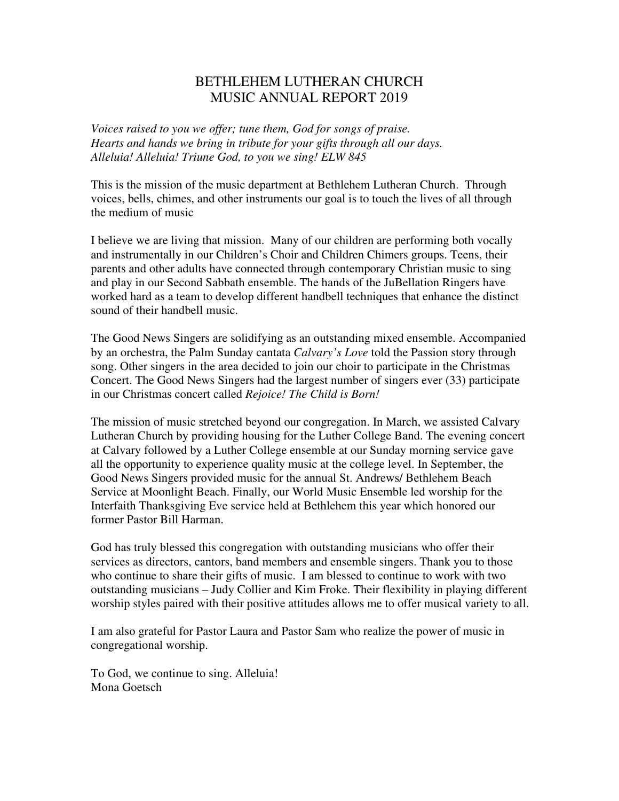# BETHLEHEM LUTHERAN CHURCH MUSIC ANNUAL REPORT 2019

*Voices raised to you we offer; tune them, God for songs of praise. Hearts and hands we bring in tribute for your gifts through all our days. Alleluia! Alleluia! Triune God, to you we sing! ELW 845* 

This is the mission of the music department at Bethlehem Lutheran Church. Through voices, bells, chimes, and other instruments our goal is to touch the lives of all through the medium of music

I believe we are living that mission. Many of our children are performing both vocally and instrumentally in our Children's Choir and Children Chimers groups. Teens, their parents and other adults have connected through contemporary Christian music to sing and play in our Second Sabbath ensemble. The hands of the JuBellation Ringers have worked hard as a team to develop different handbell techniques that enhance the distinct sound of their handbell music.

The Good News Singers are solidifying as an outstanding mixed ensemble. Accompanied by an orchestra, the Palm Sunday cantata *Calvary's Love* told the Passion story through song. Other singers in the area decided to join our choir to participate in the Christmas Concert. The Good News Singers had the largest number of singers ever (33) participate in our Christmas concert called *Rejoice! The Child is Born!* 

The mission of music stretched beyond our congregation. In March, we assisted Calvary Lutheran Church by providing housing for the Luther College Band. The evening concert at Calvary followed by a Luther College ensemble at our Sunday morning service gave all the opportunity to experience quality music at the college level. In September, the Good News Singers provided music for the annual St. Andrews/ Bethlehem Beach Service at Moonlight Beach. Finally, our World Music Ensemble led worship for the Interfaith Thanksgiving Eve service held at Bethlehem this year which honored our former Pastor Bill Harman.

God has truly blessed this congregation with outstanding musicians who offer their services as directors, cantors, band members and ensemble singers. Thank you to those who continue to share their gifts of music. I am blessed to continue to work with two outstanding musicians – Judy Collier and Kim Froke. Their flexibility in playing different worship styles paired with their positive attitudes allows me to offer musical variety to all.

I am also grateful for Pastor Laura and Pastor Sam who realize the power of music in congregational worship.

To God, we continue to sing. Alleluia! Mona Goetsch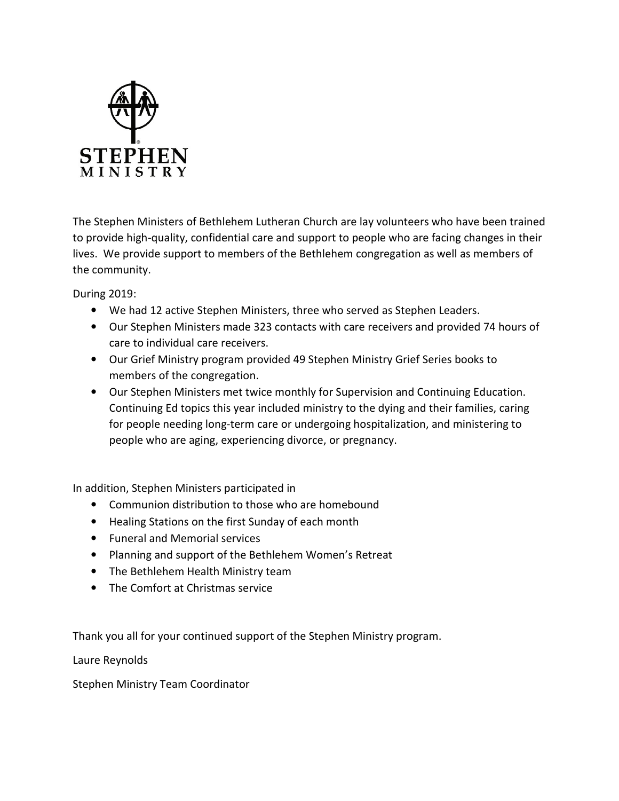

The Stephen Ministers of Bethlehem Lutheran Church are lay volunteers who have been trained to provide high-quality, confidential care and support to people who are facing changes in their lives. We provide support to members of the Bethlehem congregation as well as members of the community.

During 2019:

- We had 12 active Stephen Ministers, three who served as Stephen Leaders.
- Our Stephen Ministers made 323 contacts with care receivers and provided 74 hours of care to individual care receivers.
- Our Grief Ministry program provided 49 Stephen Ministry Grief Series books to members of the congregation.
- Our Stephen Ministers met twice monthly for Supervision and Continuing Education. Continuing Ed topics this year included ministry to the dying and their families, caring for people needing long-term care or undergoing hospitalization, and ministering to people who are aging, experiencing divorce, or pregnancy.

In addition, Stephen Ministers participated in

- Communion distribution to those who are homebound
- Healing Stations on the first Sunday of each month
- Funeral and Memorial services
- Planning and support of the Bethlehem Women's Retreat
- The Bethlehem Health Ministry team
- The Comfort at Christmas service

Thank you all for your continued support of the Stephen Ministry program.

Laure Reynolds

Stephen Ministry Team Coordinator